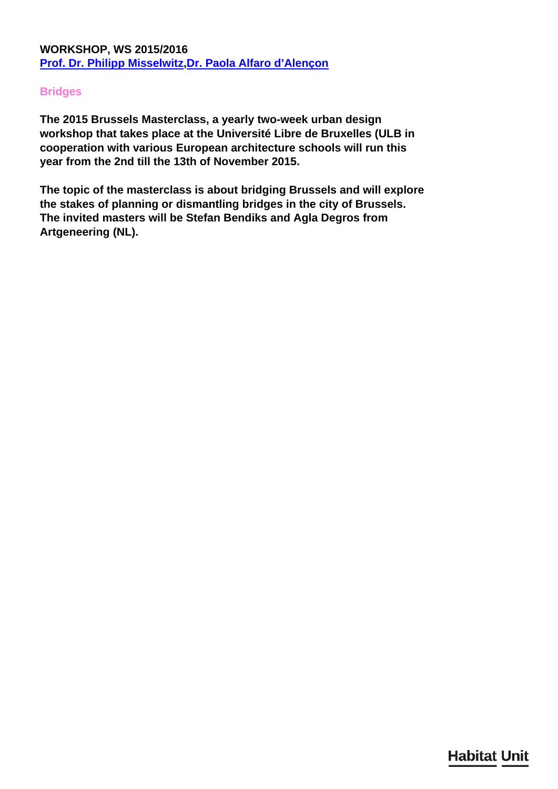## **Bridges**

**The 2015 Brussels Masterclass, a yearly two-week urban design workshop that takes place at the Université Libre de Bruxelles (ULB in cooperation with various European architecture schools will run this year from the 2nd till the 13th of November 2015.**

**The topic of the masterclass is about bridging Brussels and will explore the stakes of planning or dismantling bridges in the city of Brussels. The invited masters will be Stefan Bendiks and Agla Degros from Artgeneering (NL).**

**Habitat Unit**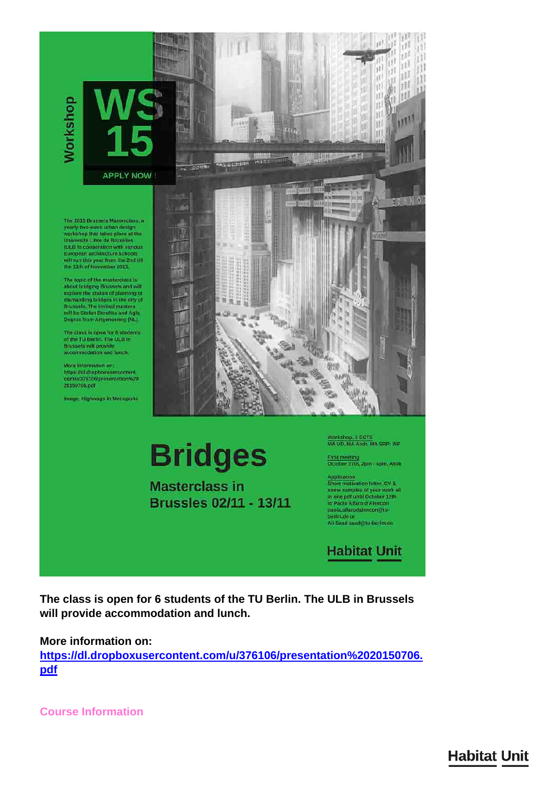**Workshop** 

**APPLY NOW** 

The 2015 Brussels Masterclass, a yearly two-week urban design<br>workshop that takes place at the<br>Universite Libre de Bruxelles **CONSTRUCTED CONSTRUCTS**<br>
COLE In cooperation with various<br>
European architecture schools<br>
will run this year from the 2nd till<br>
the 13th of November 2015

The topic of the masterclass is<br>about bridging Brussels and will<br>explore the stakes of planning or<br>diamaniling bridges in the city of<br>Brussels. The invited masters<br>will be Stefan Bendiks and Agia<br>will be Stefan Bendiks and Degros from Artgeneering (NL).

The class is open for 6 students<br>of the TU Berlin, The ULB in<br>Brussels will provide<br>accommodation and Junch,

More information on https://dl.dropboxusercontent<br>com/u/376106/presentation%20 20150706.pdf

Image: Highwags in Metropolis



**Bridges** 

**Masterclass in** Brussles 02/11 - 13/11 Workshop, 3 ECTS<br>MA UD, MA Arch, MA SRP; WP

First meeting<br>October 27th, 2pm - 4pm, A60B

Application<br>Short motivation letter, CV &<br>some samples of your work all<br>in one pdf until October 12th<br>to Paola Alfaro d'Alençon paola.alfarodalencon@tu berlin,de or<br>Ali Saad saad@tu-berlin.de

**Habitat Unit** 

The class is open for 6 students of the TU Berlin. The ULB in Brussels will provide accommodation and lunch.

More information on:

https://dl.dropboxusercontent.com/u/376106/presentation%2020150706. pdf

**Course Information** 

**Habitat Unit**